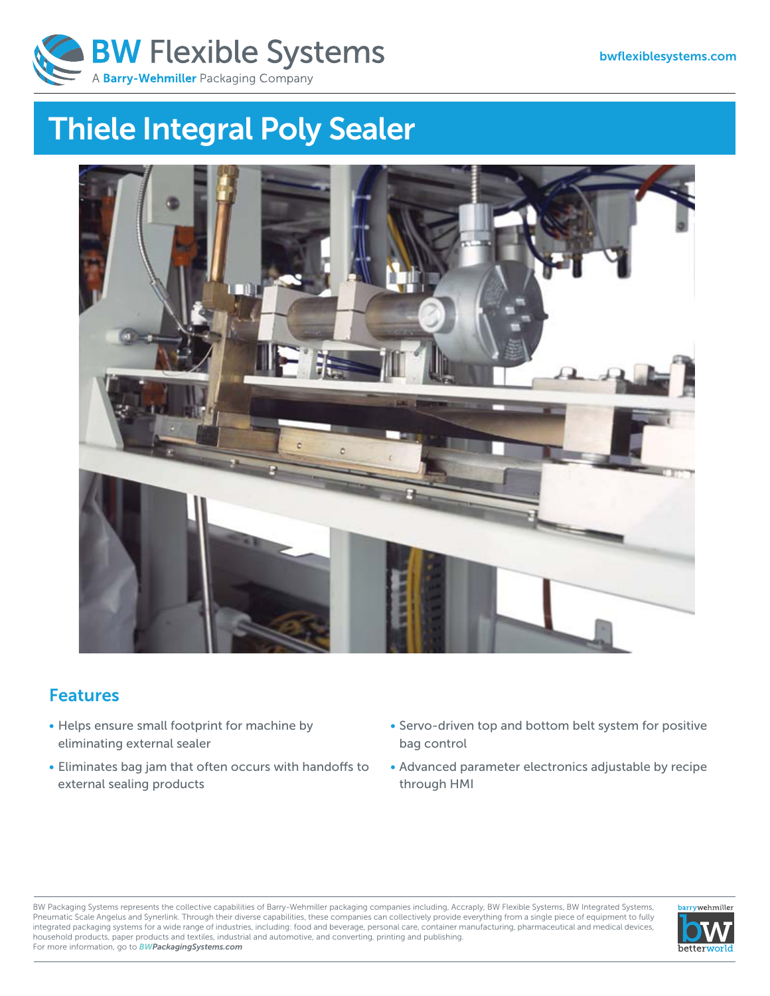

# **Thiele Integral Poly Sealer**



## **Features**

- Helps ensure small footprint for machine by eliminating external sealer
- Eliminates bag jam that often occurs with handoffs to external sealing products
- Servo-driven top and bottom belt system for positive bag control
- Advanced parameter electronics adjustable by recipe through HMI

BW Packaging Systems represents the collective capabilities of Barry-Wehmiller packaging companies including, Accraply, BW Flexible Systems, BW Integrated Systems, Pneumatic Scale Angelus and Synerlink. Through their diverse capabilities, these companies can collectively provide everything from a single piece of equipment to fully integrated packaging systems for a wide range of industries, including: food and beverage, personal care, container manufacturing, pharmaceutical and medical devices, household products, paper products and textiles, industrial and automotive, and converting, printing and publishing. For more information, go to *BWPackagingSystems.com*